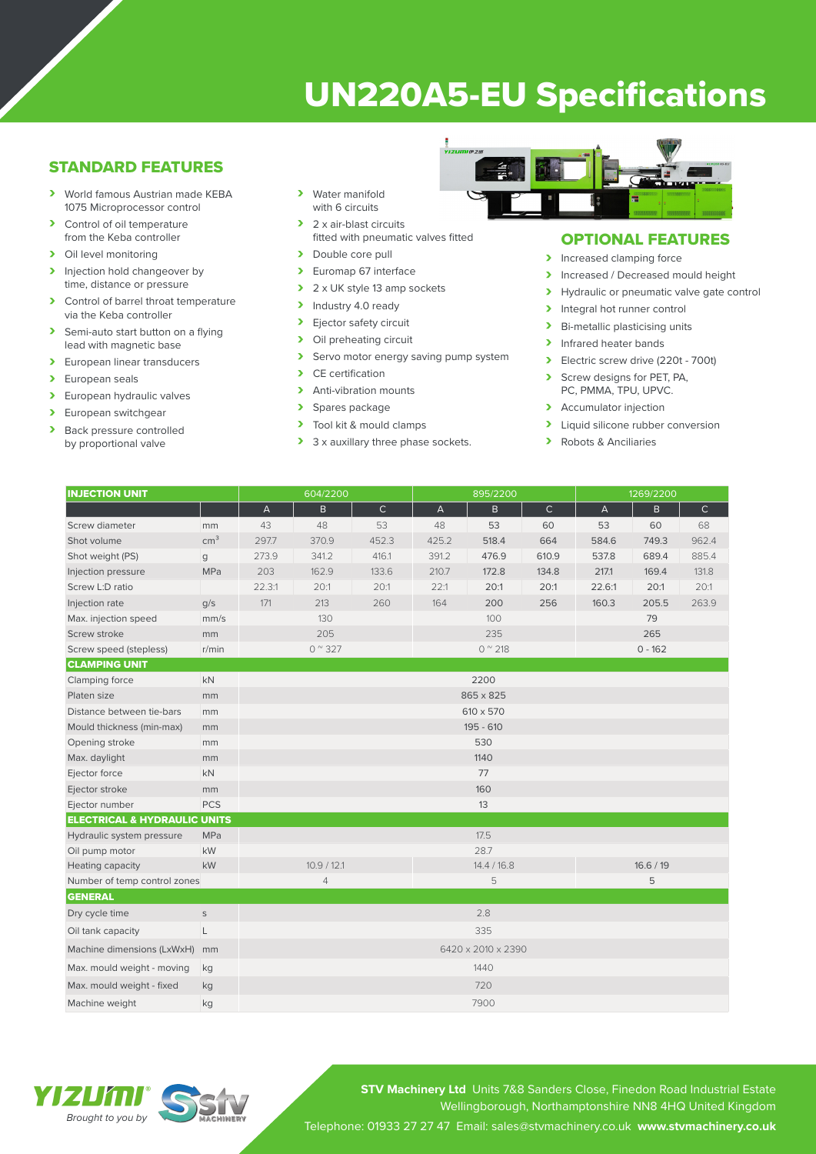# UN220A5-EU Specifications

## STANDARD FEATURES

- › World famous Austrian made KEBA 1075 Microprocessor control
- > Control of oil temperature from the Keba controller
- > Oil level monitoring
- > Injection hold changeover by time, distance or pressure
- > Control of barrel throat temperature via the Keba controller
- > Semi-auto start button on a flying lead with magnetic base
- > European linear transducers
- > European seals
- > European hydraulic valves
- > European switchgear<br>
> Back pressure contro
- Back pressure controlled by proportional valve
- › Water manifold with 6 circuits
- > 2 x air-blast circuits fitted with pneumatic valves fitted
- > Double core pull
- > Euromap 67 interface
- $\geq 2 \times UK$  style 13 amp sockets<br>  $\geq 1$ ndustry 4.0 ready
- Industry 4.0 ready
- > Ejector safety circuit<br>> Oil preheating circuit
- Oil preheating circuit
- > Servo motor energy saving pump system<br>
> CE certification
- CE certification
- > Anti-vibration mounts
- > Spares package<br>> Tool kit & mould
- Tool kit & mould clamps
- > 3 x auxillary three phase sockets.



# OPTIONAL FEATURES

- > Increased clamping force
- Increased / Decreased mould height<br>
Invealing the proportional valve date contract of
- Hydraulic or pneumatic valve gate control
- > Integral hot runner control
- > Bi-metallic plasticising units
- > Infrared heater bands
- › Electric screw drive (220t 700t)
- Screw designs for PET, PA, PC, PMMA, TPU, UPVC.
- > Accumulator injection
- > Liquid silicone rubber conversion
- › Robots & Anciliaries

| <b>INJECTION UNIT</b>                   |                 | 604/2200                  |                |              | 895/2200               |       |              | 1269/2200      |       |              |
|-----------------------------------------|-----------------|---------------------------|----------------|--------------|------------------------|-------|--------------|----------------|-------|--------------|
|                                         |                 | $\boldsymbol{\mathsf{A}}$ | $\mathsf{B}$   | $\mathsf{C}$ | A                      | B     | $\mathsf{C}$ | $\overline{A}$ | B.    | $\mathsf{C}$ |
| Screw diameter                          | mm              | 43                        | 48             | 53           | 48                     | 53    | 60           | 53             | 60    | 68           |
| Shot volume                             | cm <sup>3</sup> | 297.7                     | 370.9          | 452.3        | 425.2                  | 518.4 | 664          | 584.6          | 749.3 | 962.4        |
| Shot weight (PS)                        | g               | 273.9                     | 341.2          | 416.1        | 391.2                  | 476.9 | 610.9        | 537.8          | 689.4 | 885.4        |
| Injection pressure                      | MPa             | 203                       | 162.9          | 133.6        | 210.7                  | 172.8 | 134.8        | 217.1          | 169.4 | 131.8        |
| Screw L:D ratio                         |                 | 22.3:1                    | 20:1           | 20:1         | 22:1                   | 20:1  | 20:1         | 22.6:1         | 20:1  | 20:1         |
| Injection rate                          | q/s             | 171                       | 213            | 260          | 164                    | 200   | 256          | 160.3          | 205.5 | 263.9        |
| Max. injection speed                    | mm/s            |                           | 130            |              |                        | 100   |              |                | 79    |              |
| Screw stroke                            | mm              | 205                       |                |              | 235                    |       |              | 265            |       |              |
| Screw speed (stepless)                  | r/min           | $0^{\circ}327$            |                |              | $0^{\prime\prime}$ 218 |       |              | $0 - 162$      |       |              |
| <b>CLAMPING UNIT</b>                    |                 |                           |                |              |                        |       |              |                |       |              |
| Clamping force                          | <b>kN</b>       | 2200                      |                |              |                        |       |              |                |       |              |
| Platen size                             | mm              | 865 x 825                 |                |              |                        |       |              |                |       |              |
| Distance between tie-bars               | mm              | 610 x 570                 |                |              |                        |       |              |                |       |              |
| Mould thickness (min-max)               | mm              | 195 - 610                 |                |              |                        |       |              |                |       |              |
| Opening stroke                          | mm              | 530                       |                |              |                        |       |              |                |       |              |
| Max. daylight                           | mm              |                           |                |              |                        | 1140  |              |                |       |              |
| Ejector force                           | kN              | 77                        |                |              |                        |       |              |                |       |              |
| Ejector stroke                          | mm              |                           |                |              | 160                    |       |              |                |       |              |
| Ejector number                          | <b>PCS</b>      |                           |                |              | 13                     |       |              |                |       |              |
| <b>ELECTRICAL &amp; HYDRAULIC UNITS</b> |                 |                           |                |              |                        |       |              |                |       |              |
| Hydraulic system pressure               | <b>MPa</b>      |                           |                |              |                        | 17.5  |              |                |       |              |
| Oil pump motor                          | kW              |                           |                |              | 28.7                   |       |              |                |       |              |
| Heating capacity                        | kW              | 10.9 / 12.1               |                |              | 14.4 / 16.8            |       |              | 16.6 / 19      |       |              |
| Number of temp control zones            |                 |                           | $\overline{4}$ |              |                        | 5     |              |                | 5     |              |
| <b>GENERAL</b>                          |                 |                           |                |              |                        |       |              |                |       |              |
| Dry cycle time                          | $\mathsf{S}$    |                           |                |              | 2.8                    |       |              |                |       |              |
| Oil tank capacity                       | L               | 335                       |                |              |                        |       |              |                |       |              |
| Machine dimensions (LxWxH)              | mm              | 6420 x 2010 x 2390        |                |              |                        |       |              |                |       |              |
| Max. mould weight - moving              | kg              | 1440                      |                |              |                        |       |              |                |       |              |
| Max. mould weight - fixed               | kg              | 720                       |                |              |                        |       |              |                |       |              |
| Machine weight                          | kg              |                           |                |              |                        | 7900  |              |                |       |              |



**STV Machinery Ltd** Units 7&8 Sanders Close, Finedon Road Industrial Estate Wellingborough, Northamptonshire NN8 4HQ United Kingdom Telephone: 01933 27 27 47 Email: sales@stvmachinery.co.uk **www.stvmachinery.co.uk**